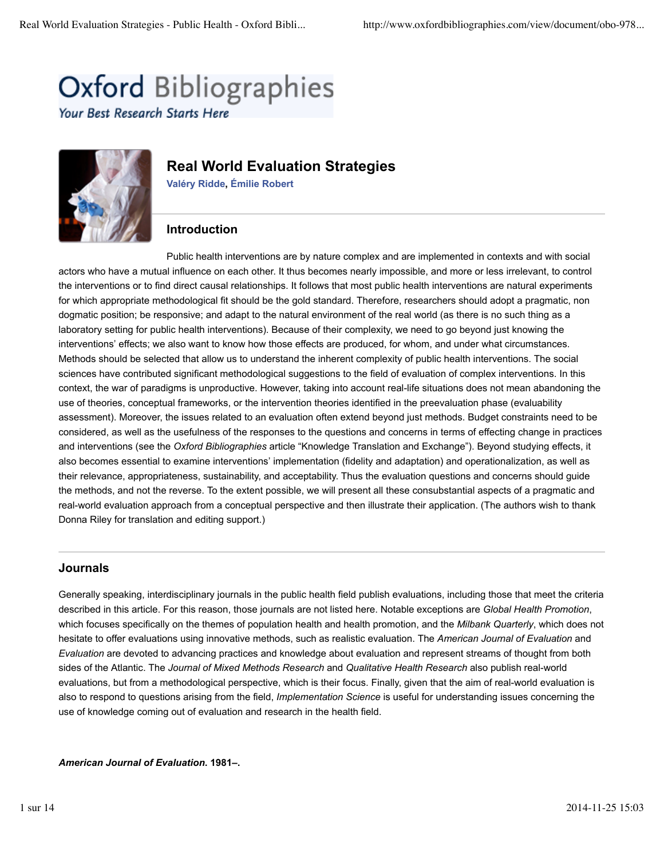# **Oxford Bibliographies**

Your Best Research Starts Here



# **Real World Evaluation Strategies**

**Valéry Ridde, Émilie Robert**

## **Introduction**

Public health interventions are by nature complex and are implemented in contexts and with social actors who have a mutual influence on each other. It thus becomes nearly impossible, and more or less irrelevant, to control the interventions or to find direct causal relationships. It follows that most public health interventions are natural experiments for which appropriate methodological fit should be the gold standard. Therefore, researchers should adopt a pragmatic, non dogmatic position; be responsive; and adapt to the natural environment of the real world (as there is no such thing as a laboratory setting for public health interventions). Because of their complexity, we need to go beyond just knowing the interventions' effects; we also want to know how those effects are produced, for whom, and under what circumstances. Methods should be selected that allow us to understand the inherent complexity of public health interventions. The social sciences have contributed significant methodological suggestions to the field of evaluation of complex interventions. In this context, the war of paradigms is unproductive. However, taking into account real-life situations does not mean abandoning the use of theories, conceptual frameworks, or the intervention theories identified in the preevaluation phase (evaluability assessment). Moreover, the issues related to an evaluation often extend beyond just methods. Budget constraints need to be considered, as well as the usefulness of the responses to the questions and concerns in terms of effecting change in practices and interventions (see the *Oxford Bibliographies* article "Knowledge Translation and Exchange"). Beyond studying effects, it also becomes essential to examine interventions' implementation (fidelity and adaptation) and operationalization, as well as their relevance, appropriateness, sustainability, and acceptability. Thus the evaluation questions and concerns should guide the methods, and not the reverse. To the extent possible, we will present all these consubstantial aspects of a pragmatic and real-world evaluation approach from a conceptual perspective and then illustrate their application. (The authors wish to thank Donna Riley for translation and editing support.)

## **Journals**

Generally speaking, interdisciplinary journals in the public health field publish evaluations, including those that meet the criteria described in this article. For this reason, those journals are not listed here. Notable exceptions are *Global Health Promotion*, which focuses specifically on the themes of population health and health promotion, and the *Milbank Quarterly*, which does not hesitate to offer evaluations using innovative methods, such as realistic evaluation. The *American Journal of Evaluation* and *Evaluation* are devoted to advancing practices and knowledge about evaluation and represent streams of thought from both sides of the Atlantic. The *Journal of Mixed Methods Research* and *Qualitative Health Research* also publish real-world evaluations, but from a methodological perspective, which is their focus. Finally, given that the aim of real-world evaluation is also to respond to questions arising from the field, *Implementation Science* is useful for understanding issues concerning the use of knowledge coming out of evaluation and research in the health field.

*American Journal of Evaluation***. 1981–.**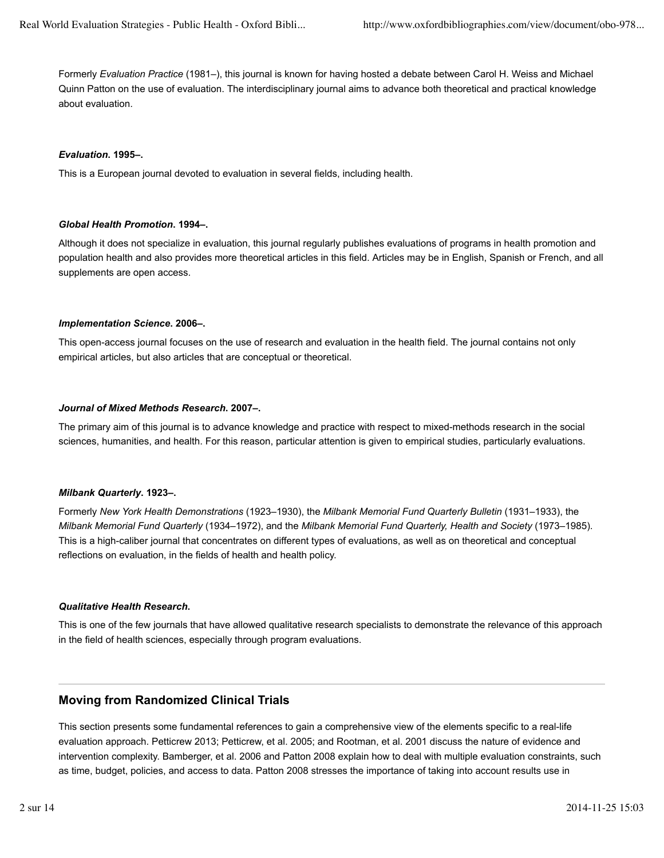Formerly *Evaluation Practice* (1981–), this journal is known for having hosted a debate between Carol H. Weiss and Michael Quinn Patton on the use of evaluation. The interdisciplinary journal aims to advance both theoretical and practical knowledge about evaluation.

#### *Evaluation***. 1995–.**

This is a European journal devoted to evaluation in several fields, including health.

#### *Global Health Promotion***. 1994–.**

Although it does not specialize in evaluation, this journal regularly publishes evaluations of programs in health promotion and population health and also provides more theoretical articles in this field. Articles may be in English, Spanish or French, and all supplements are open access.

#### *Implementation Science***. 2006–.**

This open-access journal focuses on the use of research and evaluation in the health field. The journal contains not only empirical articles, but also articles that are conceptual or theoretical.

#### *Journal of Mixed Methods Research***. 2007–.**

The primary aim of this journal is to advance knowledge and practice with respect to mixed-methods research in the social sciences, humanities, and health. For this reason, particular attention is given to empirical studies, particularly evaluations.

#### *Milbank Quarterly***. 1923–.**

Formerly *New York Health Demonstrations* (1923–1930), the *Milbank Memorial Fund Quarterly Bulletin* (1931–1933), the *Milbank Memorial Fund Quarterly* (1934–1972), and the *Milbank Memorial Fund Quarterly, Health and Society* (1973–1985). This is a high-caliber journal that concentrates on different types of evaluations, as well as on theoretical and conceptual reflections on evaluation, in the fields of health and health policy.

#### *Qualitative Health Research***.**

This is one of the few journals that have allowed qualitative research specialists to demonstrate the relevance of this approach in the field of health sciences, especially through program evaluations.

## **Moving from Randomized Clinical Trials**

This section presents some fundamental references to gain a comprehensive view of the elements specific to a real-life evaluation approach. Petticrew 2013; Petticrew, et al. 2005; and Rootman, et al. 2001 discuss the nature of evidence and intervention complexity. Bamberger, et al. 2006 and Patton 2008 explain how to deal with multiple evaluation constraints, such as time, budget, policies, and access to data. Patton 2008 stresses the importance of taking into account results use in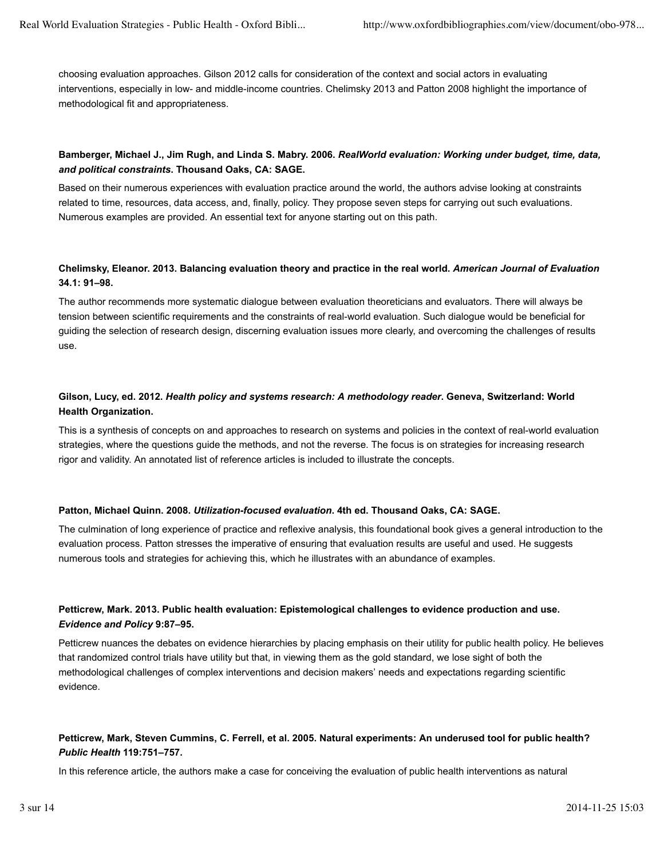choosing evaluation approaches. Gilson 2012 calls for consideration of the context and social actors in evaluating interventions, especially in low- and middle-income countries. Chelimsky 2013 and Patton 2008 highlight the importance of methodological fit and appropriateness.

#### **Bamberger, Michael J., Jim Rugh, and Linda S. Mabry. 2006.** *RealWorld evaluation: Working under budget, time, data, and political constraints***. Thousand Oaks, CA: SAGE.**

Based on their numerous experiences with evaluation practice around the world, the authors advise looking at constraints related to time, resources, data access, and, finally, policy. They propose seven steps for carrying out such evaluations. Numerous examples are provided. An essential text for anyone starting out on this path.

#### **Chelimsky, Eleanor. 2013. Balancing evaluation theory and practice in the real world.** *American Journal of Evaluation* **34.1: 91–98.**

The author recommends more systematic dialogue between evaluation theoreticians and evaluators. There will always be tension between scientific requirements and the constraints of real-world evaluation. Such dialogue would be beneficial for guiding the selection of research design, discerning evaluation issues more clearly, and overcoming the challenges of results use.

## **Gilson, Lucy, ed. 2012.** *Health policy and systems research: A methodology reader***. Geneva, Switzerland: World Health Organization.**

This is a synthesis of concepts on and approaches to research on systems and policies in the context of real-world evaluation strategies, where the questions guide the methods, and not the reverse. The focus is on strategies for increasing research rigor and validity. An annotated list of reference articles is included to illustrate the concepts.

#### **Patton, Michael Quinn. 2008.** *Utilization-focused evaluation***. 4th ed. Thousand Oaks, CA: SAGE.**

The culmination of long experience of practice and reflexive analysis, this foundational book gives a general introduction to the evaluation process. Patton stresses the imperative of ensuring that evaluation results are useful and used. He suggests numerous tools and strategies for achieving this, which he illustrates with an abundance of examples.

#### **Petticrew, Mark. 2013. Public health evaluation: Epistemological challenges to evidence production and use.** *Evidence and Policy* **9:87–95.**

Petticrew nuances the debates on evidence hierarchies by placing emphasis on their utility for public health policy. He believes that randomized control trials have utility but that, in viewing them as the gold standard, we lose sight of both the methodological challenges of complex interventions and decision makers' needs and expectations regarding scientific evidence.

## **Petticrew, Mark, Steven Cummins, C. Ferrell, et al. 2005. Natural experiments: An underused tool for public health?** *Public Health* **119:751–757.**

In this reference article, the authors make a case for conceiving the evaluation of public health interventions as natural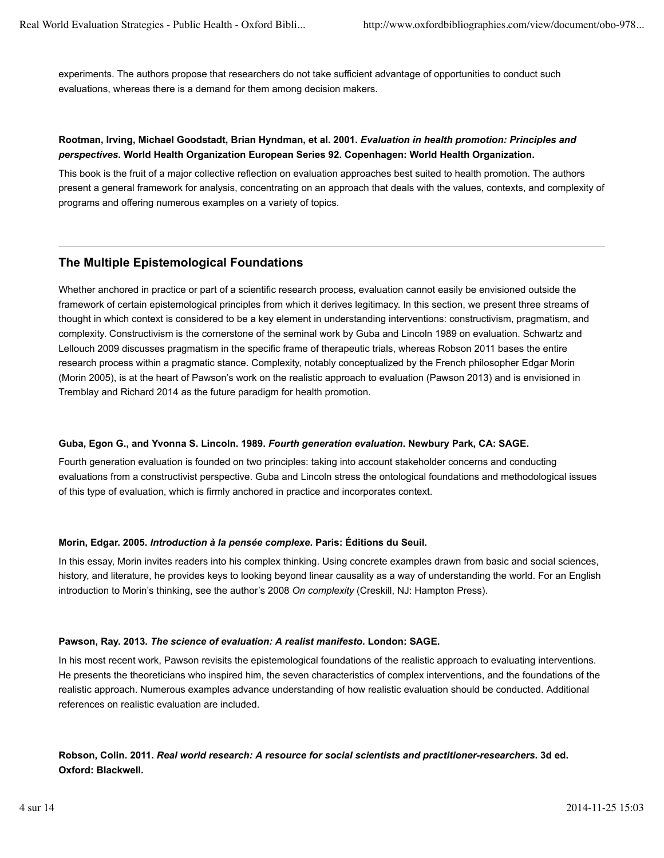experiments. The authors propose that researchers do not take sufficient advantage of opportunities to conduct such evaluations, whereas there is a demand for them among decision makers.

#### **Rootman, Irving, Michael Goodstadt, Brian Hyndman, et al. 2001.** *Evaluation in health promotion: Principles and perspectives***. World Health Organization European Series 92. Copenhagen: World Health Organization.**

This book is the fruit of a major collective reflection on evaluation approaches best suited to health promotion. The authors present a general framework for analysis, concentrating on an approach that deals with the values, contexts, and complexity of programs and offering numerous examples on a variety of topics.

## **The Multiple Epistemological Foundations**

Whether anchored in practice or part of a scientific research process, evaluation cannot easily be envisioned outside the framework of certain epistemological principles from which it derives legitimacy. In this section, we present three streams of thought in which context is considered to be a key element in understanding interventions: constructivism, pragmatism, and complexity. Constructivism is the cornerstone of the seminal work by Guba and Lincoln 1989 on evaluation. Schwartz and Lellouch 2009 discusses pragmatism in the specific frame of therapeutic trials, whereas Robson 2011 bases the entire research process within a pragmatic stance. Complexity, notably conceptualized by the French philosopher Edgar Morin (Morin 2005), is at the heart of Pawson's work on the realistic approach to evaluation (Pawson 2013) and is envisioned in Tremblay and Richard 2014 as the future paradigm for health promotion.

#### **Guba, Egon G., and Yvonna S. Lincoln. 1989.** *Fourth generation evaluation***. Newbury Park, CA: SAGE.**

Fourth generation evaluation is founded on two principles: taking into account stakeholder concerns and conducting evaluations from a constructivist perspective. Guba and Lincoln stress the ontological foundations and methodological issues of this type of evaluation, which is firmly anchored in practice and incorporates context.

#### **Morin, Edgar. 2005.** *Introduction à la pensée complexe***. Paris: Éditions du Seuil.**

In this essay, Morin invites readers into his complex thinking. Using concrete examples drawn from basic and social sciences, history, and literature, he provides keys to looking beyond linear causality as a way of understanding the world. For an English introduction to Morin's thinking, see the author's 2008 *On complexity* (Creskill, NJ: Hampton Press).

#### **Pawson, Ray. 2013.** *The science of evaluation: A realist manifesto***. London: SAGE.**

In his most recent work, Pawson revisits the epistemological foundations of the realistic approach to evaluating interventions. He presents the theoreticians who inspired him, the seven characteristics of complex interventions, and the foundations of the realistic approach. Numerous examples advance understanding of how realistic evaluation should be conducted. Additional references on realistic evaluation are included.

## **Robson, Colin. 2011.** *Real world research: A resource for social scientists and practitioner-researchers***. 3d ed. Oxford: Blackwell.**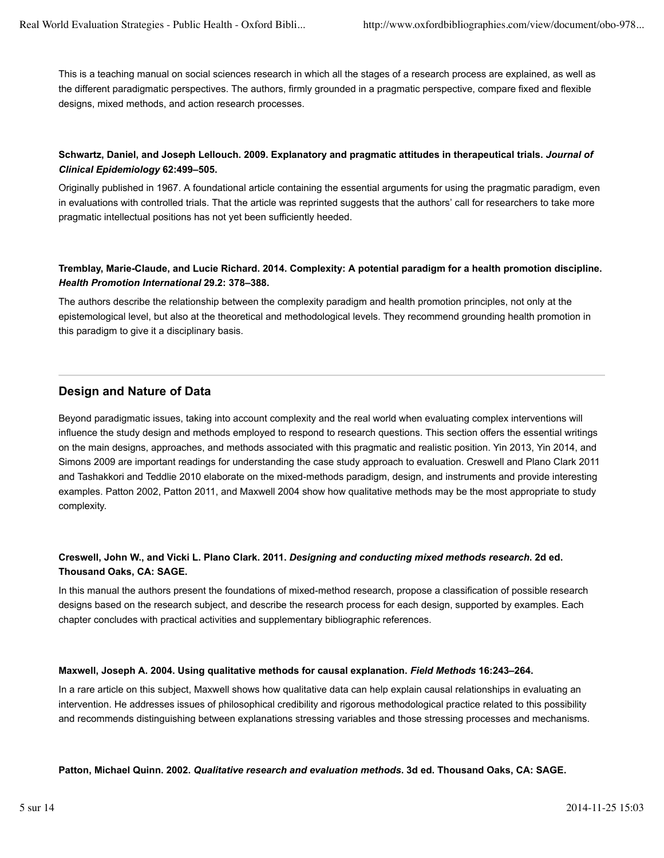This is a teaching manual on social sciences research in which all the stages of a research process are explained, as well as the different paradigmatic perspectives. The authors, firmly grounded in a pragmatic perspective, compare fixed and flexible designs, mixed methods, and action research processes.

## **Schwartz, Daniel, and Joseph Lellouch. 2009. Explanatory and pragmatic attitudes in therapeutical trials.** *Journal of Clinical Epidemiology* **62:499–505.**

Originally published in 1967. A foundational article containing the essential arguments for using the pragmatic paradigm, even in evaluations with controlled trials. That the article was reprinted suggests that the authors' call for researchers to take more pragmatic intellectual positions has not yet been sufficiently heeded.

#### **Tremblay, Marie-Claude, and Lucie Richard. 2014. Complexity: A potential paradigm for a health promotion discipline.** *Health Promotion International* **29.2: 378–388.**

The authors describe the relationship between the complexity paradigm and health promotion principles, not only at the epistemological level, but also at the theoretical and methodological levels. They recommend grounding health promotion in this paradigm to give it a disciplinary basis.

## **Design and Nature of Data**

Beyond paradigmatic issues, taking into account complexity and the real world when evaluating complex interventions will influence the study design and methods employed to respond to research questions. This section offers the essential writings on the main designs, approaches, and methods associated with this pragmatic and realistic position. Yin 2013, Yin 2014, and Simons 2009 are important readings for understanding the case study approach to evaluation. Creswell and Plano Clark 2011 and Tashakkori and Teddlie 2010 elaborate on the mixed-methods paradigm, design, and instruments and provide interesting examples. Patton 2002, Patton 2011, and Maxwell 2004 show how qualitative methods may be the most appropriate to study complexity.

## **Creswell, John W., and Vicki L. Plano Clark. 2011.** *Designing and conducting mixed methods research***. 2d ed. Thousand Oaks, CA: SAGE.**

In this manual the authors present the foundations of mixed-method research, propose a classification of possible research designs based on the research subject, and describe the research process for each design, supported by examples. Each chapter concludes with practical activities and supplementary bibliographic references.

#### **Maxwell, Joseph A. 2004. Using qualitative methods for causal explanation.** *Field Methods* **16:243–264.**

In a rare article on this subject, Maxwell shows how qualitative data can help explain causal relationships in evaluating an intervention. He addresses issues of philosophical credibility and rigorous methodological practice related to this possibility and recommends distinguishing between explanations stressing variables and those stressing processes and mechanisms.

**Patton, Michael Quinn. 2002.** *Qualitative research and evaluation methods***. 3d ed. Thousand Oaks, CA: SAGE.**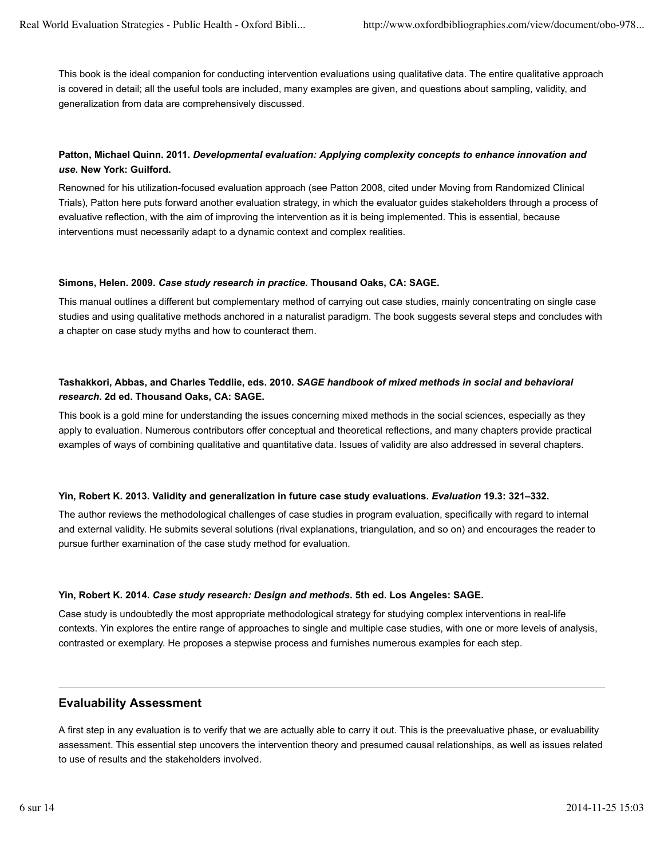This book is the ideal companion for conducting intervention evaluations using qualitative data. The entire qualitative approach is covered in detail; all the useful tools are included, many examples are given, and questions about sampling, validity, and generalization from data are comprehensively discussed.

## **Patton, Michael Quinn. 2011.** *Developmental evaluation: Applying complexity concepts to enhance innovation and use***. New York: Guilford.**

Renowned for his utilization-focused evaluation approach (see Patton 2008, cited under Moving from Randomized Clinical Trials), Patton here puts forward another evaluation strategy, in which the evaluator guides stakeholders through a process of evaluative reflection, with the aim of improving the intervention as it is being implemented. This is essential, because interventions must necessarily adapt to a dynamic context and complex realities.

#### **Simons, Helen. 2009.** *Case study research in practice***. Thousand Oaks, CA: SAGE.**

This manual outlines a different but complementary method of carrying out case studies, mainly concentrating on single case studies and using qualitative methods anchored in a naturalist paradigm. The book suggests several steps and concludes with a chapter on case study myths and how to counteract them.

#### **Tashakkori, Abbas, and Charles Teddlie, eds. 2010.** *SAGE handbook of mixed methods in social and behavioral research***. 2d ed. Thousand Oaks, CA: SAGE.**

This book is a gold mine for understanding the issues concerning mixed methods in the social sciences, especially as they apply to evaluation. Numerous contributors offer conceptual and theoretical reflections, and many chapters provide practical examples of ways of combining qualitative and quantitative data. Issues of validity are also addressed in several chapters.

#### **Yin, Robert K. 2013. Validity and generalization in future case study evaluations.** *Evaluation* **19.3: 321–332.**

The author reviews the methodological challenges of case studies in program evaluation, specifically with regard to internal and external validity. He submits several solutions (rival explanations, triangulation, and so on) and encourages the reader to pursue further examination of the case study method for evaluation.

#### **Yin, Robert K. 2014.** *Case study research: Design and methods***. 5th ed. Los Angeles: SAGE.**

Case study is undoubtedly the most appropriate methodological strategy for studying complex interventions in real-life contexts. Yin explores the entire range of approaches to single and multiple case studies, with one or more levels of analysis, contrasted or exemplary. He proposes a stepwise process and furnishes numerous examples for each step.

#### **Evaluability Assessment**

A first step in any evaluation is to verify that we are actually able to carry it out. This is the preevaluative phase, or evaluability assessment. This essential step uncovers the intervention theory and presumed causal relationships, as well as issues related to use of results and the stakeholders involved.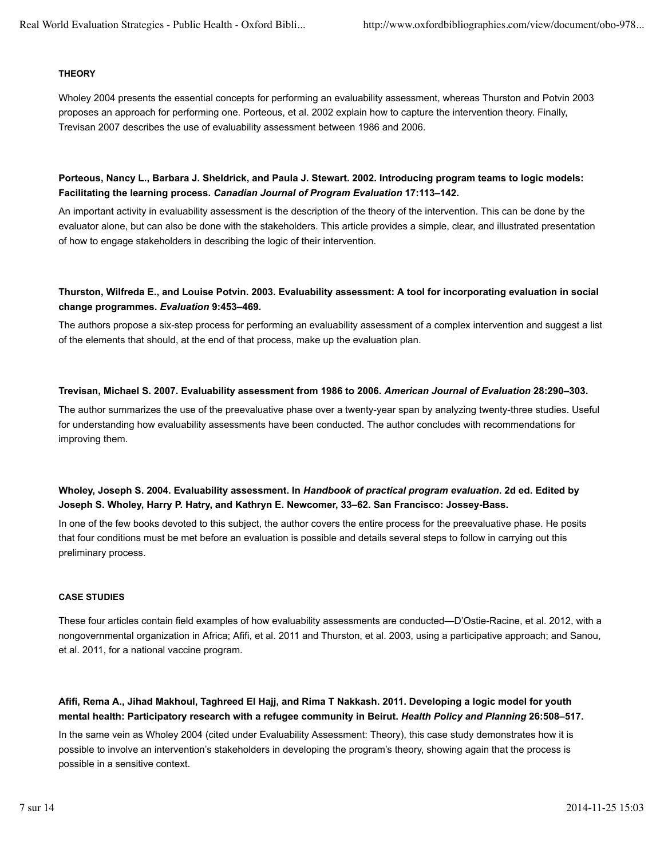#### **THEORY**

Wholey 2004 presents the essential concepts for performing an evaluability assessment, whereas Thurston and Potvin 2003 proposes an approach for performing one. Porteous, et al. 2002 explain how to capture the intervention theory. Finally, Trevisan 2007 describes the use of evaluability assessment between 1986 and 2006.

#### **Porteous, Nancy L., Barbara J. Sheldrick, and Paula J. Stewart. 2002. Introducing program teams to logic models: Facilitating the learning process.** *Canadian Journal of Program Evaluation* **17:113–142.**

An important activity in evaluability assessment is the description of the theory of the intervention. This can be done by the evaluator alone, but can also be done with the stakeholders. This article provides a simple, clear, and illustrated presentation of how to engage stakeholders in describing the logic of their intervention.

#### **Thurston, Wilfreda E., and Louise Potvin. 2003. Evaluability assessment: A tool for incorporating evaluation in social change programmes.** *Evaluation* **9:453–469.**

The authors propose a six-step process for performing an evaluability assessment of a complex intervention and suggest a list of the elements that should, at the end of that process, make up the evaluation plan.

#### **Trevisan, Michael S. 2007. Evaluability assessment from 1986 to 2006.** *American Journal of Evaluation* **28:290–303.**

The author summarizes the use of the preevaluative phase over a twenty-year span by analyzing twenty-three studies. Useful for understanding how evaluability assessments have been conducted. The author concludes with recommendations for improving them.

#### **Wholey, Joseph S. 2004. Evaluability assessment. In** *Handbook of practical program evaluation***. 2d ed. Edited by Joseph S. Wholey, Harry P. Hatry, and Kathryn E. Newcomer, 33–62. San Francisco: Jossey-Bass.**

In one of the few books devoted to this subject, the author covers the entire process for the preevaluative phase. He posits that four conditions must be met before an evaluation is possible and details several steps to follow in carrying out this preliminary process.

#### **CASE STUDIES**

These four articles contain field examples of how evaluability assessments are conducted—D'Ostie-Racine, et al. 2012, with a nongovernmental organization in Africa; Afifi, et al. 2011 and Thurston, et al. 2003, using a participative approach; and Sanou, et al. 2011, for a national vaccine program.

#### **Afifi, Rema A., Jihad Makhoul, Taghreed El Hajj, and Rima T Nakkash. 2011. Developing a logic model for youth mental health: Participatory research with a refugee community in Beirut.** *Health Policy and Planning* **26:508–517.**

In the same vein as Wholey 2004 (cited under Evaluability Assessment: Theory), this case study demonstrates how it is possible to involve an intervention's stakeholders in developing the program's theory, showing again that the process is possible in a sensitive context.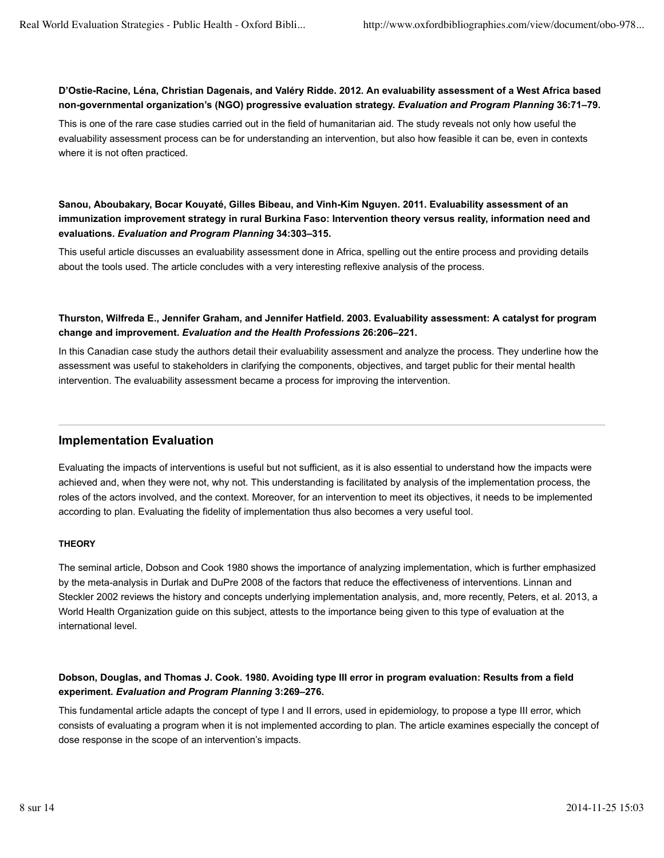#### **D'Ostie-Racine, Léna, Christian Dagenais, and Valéry Ridde. 2012. An evaluability assessment of a West Africa based non-governmental organization's (NGO) progressive evaluation strategy.** *Evaluation and Program Planning* **36:71–79.**

This is one of the rare case studies carried out in the field of humanitarian aid. The study reveals not only how useful the evaluability assessment process can be for understanding an intervention, but also how feasible it can be, even in contexts where it is not often practiced.

## **Sanou, Aboubakary, Bocar Kouyaté, Gilles Bibeau, and Vinh-Kim Nguyen. 2011. Evaluability assessment of an immunization improvement strategy in rural Burkina Faso: Intervention theory versus reality, information need and evaluations.** *Evaluation and Program Planning* **34:303–315.**

This useful article discusses an evaluability assessment done in Africa, spelling out the entire process and providing details about the tools used. The article concludes with a very interesting reflexive analysis of the process.

#### **Thurston, Wilfreda E., Jennifer Graham, and Jennifer Hatfield. 2003. Evaluability assessment: A catalyst for program change and improvement.** *Evaluation and the Health Professions* **26:206–221.**

In this Canadian case study the authors detail their evaluability assessment and analyze the process. They underline how the assessment was useful to stakeholders in clarifying the components, objectives, and target public for their mental health intervention. The evaluability assessment became a process for improving the intervention.

## **Implementation Evaluation**

Evaluating the impacts of interventions is useful but not sufficient, as it is also essential to understand how the impacts were achieved and, when they were not, why not. This understanding is facilitated by analysis of the implementation process, the roles of the actors involved, and the context. Moreover, for an intervention to meet its objectives, it needs to be implemented according to plan. Evaluating the fidelity of implementation thus also becomes a very useful tool.

#### **THEORY**

The seminal article, Dobson and Cook 1980 shows the importance of analyzing implementation, which is further emphasized by the meta-analysis in Durlak and DuPre 2008 of the factors that reduce the effectiveness of interventions. Linnan and Steckler 2002 reviews the history and concepts underlying implementation analysis, and, more recently, Peters, et al. 2013, a World Health Organization guide on this subject, attests to the importance being given to this type of evaluation at the international level.

#### **Dobson, Douglas, and Thomas J. Cook. 1980. Avoiding type III error in program evaluation: Results from a field experiment.** *Evaluation and Program Planning* **3:269–276.**

This fundamental article adapts the concept of type I and II errors, used in epidemiology, to propose a type III error, which consists of evaluating a program when it is not implemented according to plan. The article examines especially the concept of dose response in the scope of an intervention's impacts.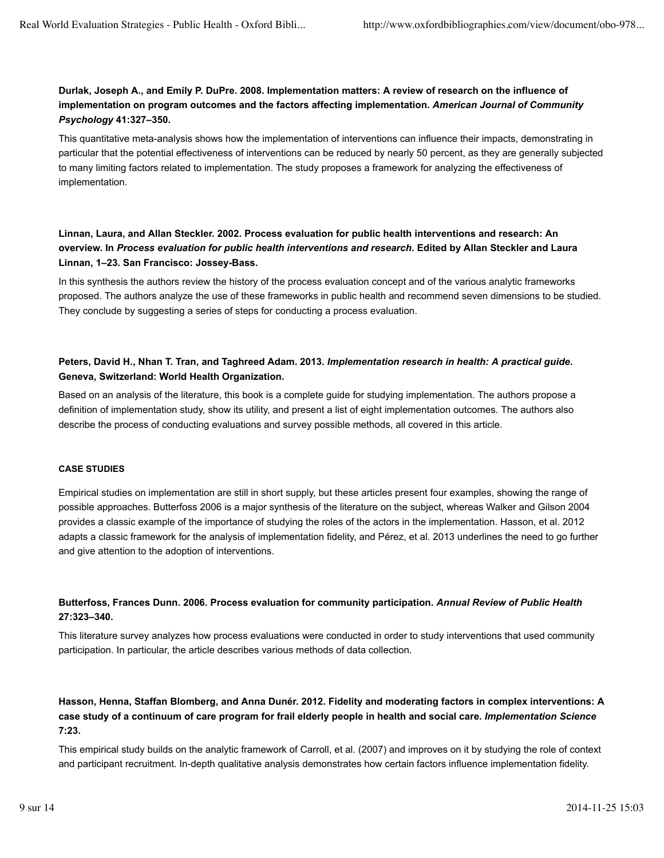## **Durlak, Joseph A., and Emily P. DuPre. 2008. Implementation matters: A review of research on the influence of implementation on program outcomes and the factors affecting implementation.** *American Journal of Community Psychology* **41:327–350.**

This quantitative meta-analysis shows how the implementation of interventions can influence their impacts, demonstrating in particular that the potential effectiveness of interventions can be reduced by nearly 50 percent, as they are generally subjected to many limiting factors related to implementation. The study proposes a framework for analyzing the effectiveness of implementation.

## **Linnan, Laura, and Allan Steckler. 2002. Process evaluation for public health interventions and research: An overview. In** *Process evaluation for public health interventions and research***. Edited by Allan Steckler and Laura Linnan, 1–23. San Francisco: Jossey-Bass.**

In this synthesis the authors review the history of the process evaluation concept and of the various analytic frameworks proposed. The authors analyze the use of these frameworks in public health and recommend seven dimensions to be studied. They conclude by suggesting a series of steps for conducting a process evaluation.

#### **Peters, David H., Nhan T. Tran, and Taghreed Adam. 2013.** *Implementation research in health: A practical guide***. Geneva, Switzerland: World Health Organization.**

Based on an analysis of the literature, this book is a complete guide for studying implementation. The authors propose a definition of implementation study, show its utility, and present a list of eight implementation outcomes. The authors also describe the process of conducting evaluations and survey possible methods, all covered in this article.

#### **CASE STUDIES**

Empirical studies on implementation are still in short supply, but these articles present four examples, showing the range of possible approaches. Butterfoss 2006 is a major synthesis of the literature on the subject, whereas Walker and Gilson 2004 provides a classic example of the importance of studying the roles of the actors in the implementation. Hasson, et al. 2012 adapts a classic framework for the analysis of implementation fidelity, and Pérez, et al. 2013 underlines the need to go further and give attention to the adoption of interventions.

#### **Butterfoss, Frances Dunn. 2006. Process evaluation for community participation.** *Annual Review of Public Health* **27:323–340.**

This literature survey analyzes how process evaluations were conducted in order to study interventions that used community participation. In particular, the article describes various methods of data collection.

## **Hasson, Henna, Staffan Blomberg, and Anna Dunér. 2012. Fidelity and moderating factors in complex interventions: A case study of a continuum of care program for frail elderly people in health and social care.** *Implementation Science* **7:23.**

This empirical study builds on the analytic framework of Carroll, et al. (2007) and improves on it by studying the role of context and participant recruitment. In-depth qualitative analysis demonstrates how certain factors influence implementation fidelity.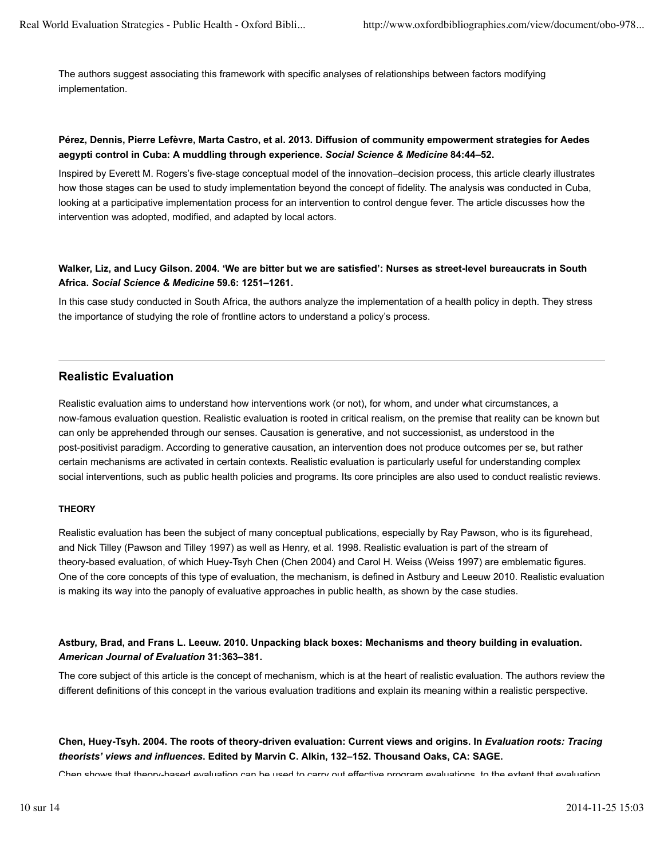The authors suggest associating this framework with specific analyses of relationships between factors modifying implementation.

#### **Pérez, Dennis, Pierre Lefèvre, Marta Castro, et al. 2013. Diffusion of community empowerment strategies for Aedes aegypti control in Cuba: A muddling through experience.** *Social Science & Medicine* **84:44–52.**

Inspired by Everett M. Rogers's five-stage conceptual model of the innovation–decision process, this article clearly illustrates how those stages can be used to study implementation beyond the concept of fidelity. The analysis was conducted in Cuba, looking at a participative implementation process for an intervention to control dengue fever. The article discusses how the intervention was adopted, modified, and adapted by local actors.

#### **Walker, Liz, and Lucy Gilson. 2004. 'We are bitter but we are satisfied': Nurses as street-level bureaucrats in South Africa.** *Social Science & Medicine* **59.6: 1251–1261.**

In this case study conducted in South Africa, the authors analyze the implementation of a health policy in depth. They stress the importance of studying the role of frontline actors to understand a policy's process.

## **Realistic Evaluation**

Realistic evaluation aims to understand how interventions work (or not), for whom, and under what circumstances, a now-famous evaluation question. Realistic evaluation is rooted in critical realism, on the premise that reality can be known but can only be apprehended through our senses. Causation is generative, and not successionist, as understood in the post-positivist paradigm. According to generative causation, an intervention does not produce outcomes per se, but rather certain mechanisms are activated in certain contexts. Realistic evaluation is particularly useful for understanding complex social interventions, such as public health policies and programs. Its core principles are also used to conduct realistic reviews.

#### **THEORY**

Realistic evaluation has been the subject of many conceptual publications, especially by Ray Pawson, who is its figurehead, and Nick Tilley (Pawson and Tilley 1997) as well as Henry, et al. 1998. Realistic evaluation is part of the stream of theory-based evaluation, of which Huey-Tsyh Chen (Chen 2004) and Carol H. Weiss (Weiss 1997) are emblematic figures. One of the core concepts of this type of evaluation, the mechanism, is defined in Astbury and Leeuw 2010. Realistic evaluation is making its way into the panoply of evaluative approaches in public health, as shown by the case studies.

**Astbury, Brad, and Frans L. Leeuw. 2010. Unpacking black boxes: Mechanisms and theory building in evaluation.** *American Journal of Evaluation* **31:363–381.**

The core subject of this article is the concept of mechanism, which is at the heart of realistic evaluation. The authors review the different definitions of this concept in the various evaluation traditions and explain its meaning within a realistic perspective.

**Chen, Huey-Tsyh. 2004. The roots of theory-driven evaluation: Current views and origins. In** *Evaluation roots: Tracing theorists' views and influences***. Edited by Marvin C. Alkin, 132–152. Thousand Oaks, CA: SAGE.**

Chen shows that theory-based evaluation can be used to carry out effective program evaluations, to the extent that evaluation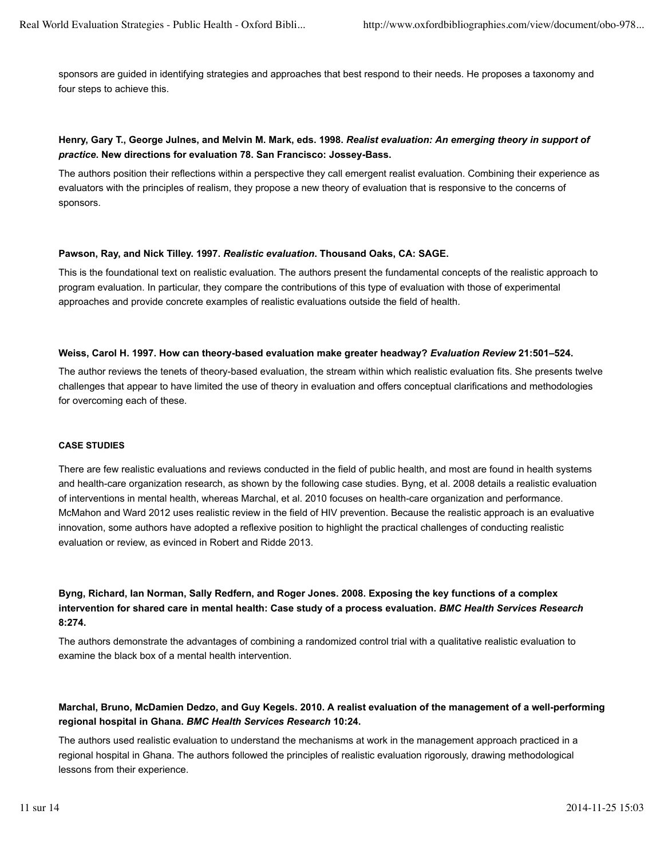sponsors are guided in identifying strategies and approaches that best respond to their needs. He proposes a taxonomy and four steps to achieve this.

#### **Henry, Gary T., George Julnes, and Melvin M. Mark, eds. 1998.** *Realist evaluation: An emerging theory in support of practice***. New directions for evaluation 78. San Francisco: Jossey-Bass.**

The authors position their reflections within a perspective they call emergent realist evaluation. Combining their experience as evaluators with the principles of realism, they propose a new theory of evaluation that is responsive to the concerns of sponsors.

#### **Pawson, Ray, and Nick Tilley. 1997.** *Realistic evaluation***. Thousand Oaks, CA: SAGE.**

This is the foundational text on realistic evaluation. The authors present the fundamental concepts of the realistic approach to program evaluation. In particular, they compare the contributions of this type of evaluation with those of experimental approaches and provide concrete examples of realistic evaluations outside the field of health.

#### **Weiss, Carol H. 1997. How can theory-based evaluation make greater headway?** *Evaluation Review* **21:501–524.**

The author reviews the tenets of theory-based evaluation, the stream within which realistic evaluation fits. She presents twelve challenges that appear to have limited the use of theory in evaluation and offers conceptual clarifications and methodologies for overcoming each of these.

#### **CASE STUDIES**

There are few realistic evaluations and reviews conducted in the field of public health, and most are found in health systems and health-care organization research, as shown by the following case studies. Byng, et al. 2008 details a realistic evaluation of interventions in mental health, whereas Marchal, et al. 2010 focuses on health-care organization and performance. McMahon and Ward 2012 uses realistic review in the field of HIV prevention. Because the realistic approach is an evaluative innovation, some authors have adopted a reflexive position to highlight the practical challenges of conducting realistic evaluation or review, as evinced in Robert and Ridde 2013.

## **Byng, Richard, Ian Norman, Sally Redfern, and Roger Jones. 2008. Exposing the key functions of a complex intervention for shared care in mental health: Case study of a process evaluation.** *BMC Health Services Research* **8:274.**

The authors demonstrate the advantages of combining a randomized control trial with a qualitative realistic evaluation to examine the black box of a mental health intervention.

#### **Marchal, Bruno, McDamien Dedzo, and Guy Kegels. 2010. A realist evaluation of the management of a well-performing regional hospital in Ghana.** *BMC Health Services Research* **10:24.**

The authors used realistic evaluation to understand the mechanisms at work in the management approach practiced in a regional hospital in Ghana. The authors followed the principles of realistic evaluation rigorously, drawing methodological lessons from their experience.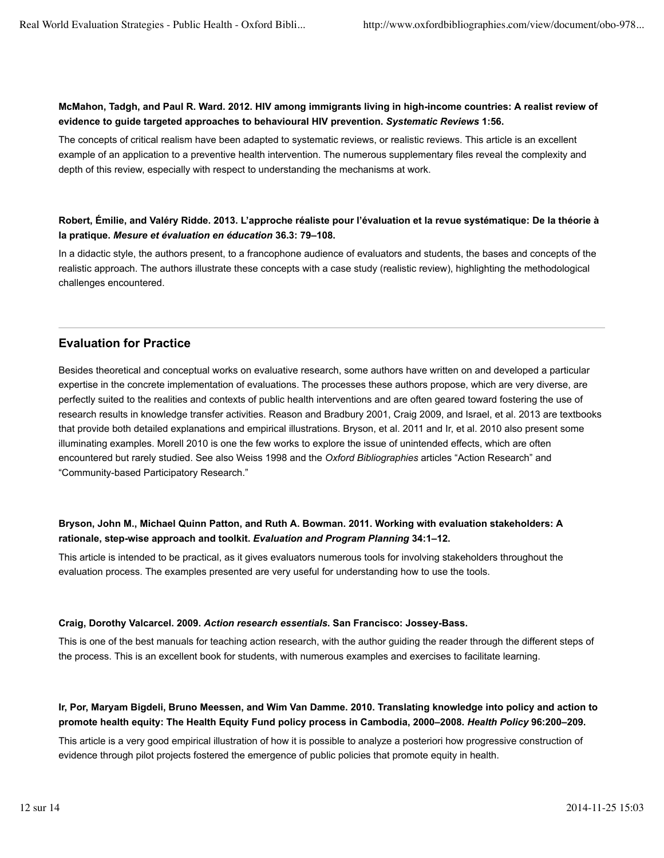#### **McMahon, Tadgh, and Paul R. Ward. 2012. HIV among immigrants living in high-income countries: A realist review of evidence to guide targeted approaches to behavioural HIV prevention.** *Systematic Reviews* **1:56.**

The concepts of critical realism have been adapted to systematic reviews, or realistic reviews. This article is an excellent example of an application to a preventive health intervention. The numerous supplementary files reveal the complexity and depth of this review, especially with respect to understanding the mechanisms at work.

#### **Robert, Émilie, and Valéry Ridde. 2013. L'approche réaliste pour l'évaluation et la revue systématique: De la théorie à la pratique.** *Mesure et évaluation en éducation* **36.3: 79–108.**

In a didactic style, the authors present, to a francophone audience of evaluators and students, the bases and concepts of the realistic approach. The authors illustrate these concepts with a case study (realistic review), highlighting the methodological challenges encountered.

## **Evaluation for Practice**

Besides theoretical and conceptual works on evaluative research, some authors have written on and developed a particular expertise in the concrete implementation of evaluations. The processes these authors propose, which are very diverse, are perfectly suited to the realities and contexts of public health interventions and are often geared toward fostering the use of research results in knowledge transfer activities. Reason and Bradbury 2001, Craig 2009, and Israel, et al. 2013 are textbooks that provide both detailed explanations and empirical illustrations. Bryson, et al. 2011 and Ir, et al. 2010 also present some illuminating examples. Morell 2010 is one the few works to explore the issue of unintended effects, which are often encountered but rarely studied. See also Weiss 1998 and the *Oxford Bibliographies* articles "Action Research" and "Community-based Participatory Research."

#### **Bryson, John M., Michael Quinn Patton, and Ruth A. Bowman. 2011. Working with evaluation stakeholders: A rationale, step-wise approach and toolkit.** *Evaluation and Program Planning* **34:1–12.**

This article is intended to be practical, as it gives evaluators numerous tools for involving stakeholders throughout the evaluation process. The examples presented are very useful for understanding how to use the tools.

#### **Craig, Dorothy Valcarcel. 2009.** *Action research essentials***. San Francisco: Jossey-Bass.**

This is one of the best manuals for teaching action research, with the author guiding the reader through the different steps of the process. This is an excellent book for students, with numerous examples and exercises to facilitate learning.

#### **Ir, Por, Maryam Bigdeli, Bruno Meessen, and Wim Van Damme. 2010. Translating knowledge into policy and action to promote health equity: The Health Equity Fund policy process in Cambodia, 2000–2008.** *Health Policy* **96:200–209.**

This article is a very good empirical illustration of how it is possible to analyze a posteriori how progressive construction of evidence through pilot projects fostered the emergence of public policies that promote equity in health.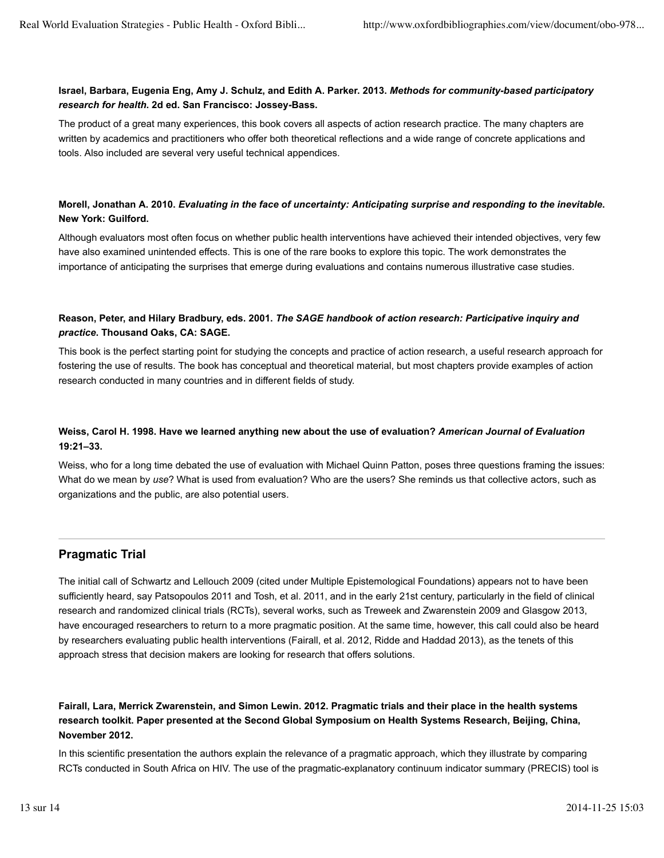#### **Israel, Barbara, Eugenia Eng, Amy J. Schulz, and Edith A. Parker. 2013.** *Methods for community-based participatory research for health***. 2d ed. San Francisco: Jossey-Bass.**

The product of a great many experiences, this book covers all aspects of action research practice. The many chapters are written by academics and practitioners who offer both theoretical reflections and a wide range of concrete applications and tools. Also included are several very useful technical appendices.

## **Morell, Jonathan A. 2010.** *Evaluating in the face of uncertainty: Anticipating surprise and responding to the inevitable***. New York: Guilford.**

Although evaluators most often focus on whether public health interventions have achieved their intended objectives, very few have also examined unintended effects. This is one of the rare books to explore this topic. The work demonstrates the importance of anticipating the surprises that emerge during evaluations and contains numerous illustrative case studies.

#### **Reason, Peter, and Hilary Bradbury, eds. 2001.** *The SAGE handbook of action research: Participative inquiry and practice***. Thousand Oaks, CA: SAGE.**

This book is the perfect starting point for studying the concepts and practice of action research, a useful research approach for fostering the use of results. The book has conceptual and theoretical material, but most chapters provide examples of action research conducted in many countries and in different fields of study.

## **Weiss, Carol H. 1998. Have we learned anything new about the use of evaluation?** *American Journal of Evaluation* **19:21–33.**

Weiss, who for a long time debated the use of evaluation with Michael Quinn Patton, poses three questions framing the issues: What do we mean by *use*? What is used from evaluation? Who are the users? She reminds us that collective actors, such as organizations and the public, are also potential users.

## **Pragmatic Trial**

The initial call of Schwartz and Lellouch 2009 (cited under Multiple Epistemological Foundations) appears not to have been sufficiently heard, say Patsopoulos 2011 and Tosh, et al. 2011, and in the early 21st century, particularly in the field of clinical research and randomized clinical trials (RCTs), several works, such as Treweek and Zwarenstein 2009 and Glasgow 2013, have encouraged researchers to return to a more pragmatic position. At the same time, however, this call could also be heard by researchers evaluating public health interventions (Fairall, et al. 2012, Ridde and Haddad 2013), as the tenets of this approach stress that decision makers are looking for research that offers solutions.

**Fairall, Lara, Merrick Zwarenstein, and Simon Lewin. 2012. Pragmatic trials and their place in the health systems research toolkit. Paper presented at the Second Global Symposium on Health Systems Research, Beijing, China, November 2012.**

In this scientific presentation the authors explain the relevance of a pragmatic approach, which they illustrate by comparing RCTs conducted in South Africa on HIV. The use of the pragmatic-explanatory continuum indicator summary (PRECIS) tool is